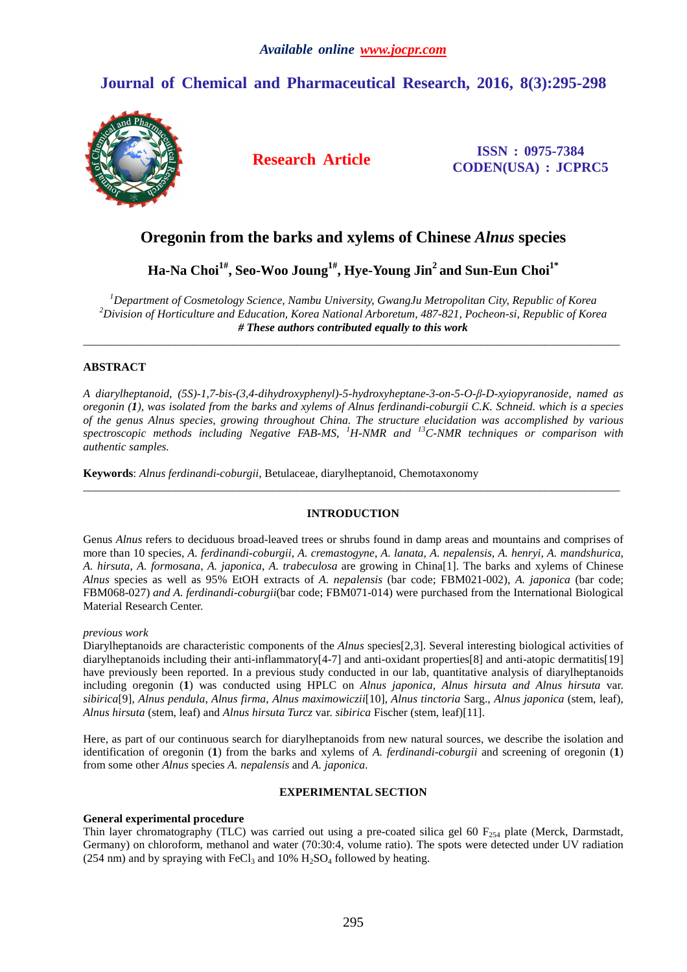# **Journal of Chemical and Pharmaceutical Research, 2016, 8(3):295-298**



**Research Article ISSN : 0975-7384 CODEN(USA) : JCPRC5**

## **Oregonin from the barks and xylems of Chinese** *Alnus* **species**

**Ha-Na Choi1#, Seo-Woo Joung1#, Hye-Young Jin<sup>2</sup> and Sun-Eun Choi1\*** 

*<sup>1</sup>Department of Cosmetology Science, Nambu University, GwangJu Metropolitan City, Republic of Korea <sup>2</sup>Division of Horticulture and Education, Korea National Arboretum, 487-821, Pocheon-si, Republic of Korea # These authors contributed equally to this work* 

\_\_\_\_\_\_\_\_\_\_\_\_\_\_\_\_\_\_\_\_\_\_\_\_\_\_\_\_\_\_\_\_\_\_\_\_\_\_\_\_\_\_\_\_\_\_\_\_\_\_\_\_\_\_\_\_\_\_\_\_\_\_\_\_\_\_\_\_\_\_\_\_\_\_\_\_\_\_\_\_\_\_\_\_\_\_\_\_\_\_\_\_\_

## **ABSTRACT**

*A diarylheptanoid, (5S)-1,7-bis-(3,4-dihydroxyphenyl)-5-hydroxyheptane-3-on-5-O-β-D-xyiopyranoside, named as oregonin (1), was isolated from the barks and xylems of Alnus ferdinandi-coburgii C.K. Schneid. which is a species of the genus Alnus species, growing throughout China. The structure elucidation was accomplished by various spectroscopic methods including Negative FAB-MS, <sup>1</sup>H-NMR and <sup>13</sup>C-NMR techniques or comparison with authentic samples.* 

**Keywords**: *Alnus ferdinandi-coburgii*, Betulaceae, diarylheptanoid, Chemotaxonomy

### **INTRODUCTION**

\_\_\_\_\_\_\_\_\_\_\_\_\_\_\_\_\_\_\_\_\_\_\_\_\_\_\_\_\_\_\_\_\_\_\_\_\_\_\_\_\_\_\_\_\_\_\_\_\_\_\_\_\_\_\_\_\_\_\_\_\_\_\_\_\_\_\_\_\_\_\_\_\_\_\_\_\_\_\_\_\_\_\_\_\_\_\_\_\_\_\_\_\_

Genus *Alnus* refers to deciduous broad-leaved trees or shrubs found in damp areas and mountains and comprises of more than 10 species, *A. ferdinandi-coburgii*, *A. cremastogyne*, *A. lanata*, *A. nepalensis*, *A. henryi*, *A. mandshurica*, *A. hirsuta*, *A. formosana*, *A. japonica*, *A. trabeculosa* are growing in China[1]. The barks and xylems of Chinese *Alnus* species as well as 95% EtOH extracts of *A. nepalensis* (bar code; FBM021-002), *A. japonica* (bar code; FBM068-027) *and A. ferdinandi-coburgii*(bar code; FBM071-014) were purchased from the International Biological Material Research Center.

## *previous work*

Diarylheptanoids are characteristic components of the *Alnus* species[2,3]. Several interesting biological activities of diarylheptanoids including their anti-inflammatory[4-7] and anti-oxidant properties[8] and anti-atopic dermatitis[19] have previously been reported. In a previous study conducted in our lab, quantitative analysis of diarylheptanoids including oregonin (**1**) was conducted using HPLC on *Alnus japonica, Alnus hirsuta and Alnus hirsuta* var. *sibirica*[9], *Alnus pendula*, *Alnus firma*, *Alnus maximowiczii*[10], *Alnus tinctoria* Sarg., *Alnus japonica* (stem, leaf), *Alnus hirsuta* (stem, leaf) and *Alnus hirsuta Turcz* var. *sibirica* Fischer (stem, leaf)[11].

Here, as part of our continuous search for diarylheptanoids from new natural sources, we describe the isolation and identification of oregonin (**1**) from the barks and xylems of *A. ferdinandi-coburgii* and screening of oregonin (**1**) from some other *Alnus* species *A. nepalensis* and *A. japonica*.

### **EXPERIMENTAL SECTION**

### **General experimental procedure**

Thin layer chromatography (TLC) was carried out using a pre-coated silica gel 60  $F_{254}$  plate (Merck, Darmstadt, Germany) on chloroform, methanol and water (70:30:4, volume ratio). The spots were detected under UV radiation (254 nm) and by spraying with FeCl<sub>3</sub> and 10%  $H_2SO_4$  followed by heating.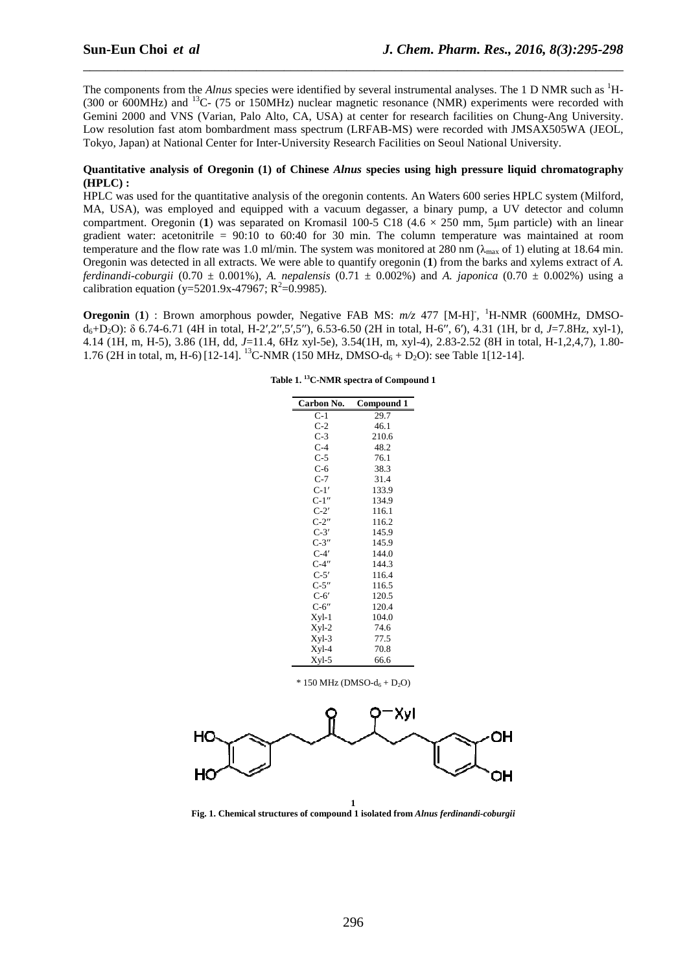The components from the *Alnus* species were identified by several instrumental analyses. The 1 D NMR such as <sup>1</sup>H-(300 or 600MHz) and <sup>13</sup>C- (75 or 150MHz) nuclear magnetic resonance (NMR) experiments were recorded with Gemini 2000 and VNS (Varian, Palo Alto, CA, USA) at center for research facilities on Chung-Ang University. Low resolution fast atom bombardment mass spectrum (LRFAB-MS) were recorded with JMSAX505WA (JEOL, Tokyo, Japan) at National Center for Inter-University Research Facilities on Seoul National University.

\_\_\_\_\_\_\_\_\_\_\_\_\_\_\_\_\_\_\_\_\_\_\_\_\_\_\_\_\_\_\_\_\_\_\_\_\_\_\_\_\_\_\_\_\_\_\_\_\_\_\_\_\_\_\_\_\_\_\_\_\_\_\_\_\_\_\_\_\_\_\_\_\_\_\_\_\_\_

#### **Quantitative analysis of Oregonin (1) of Chinese** *Alnus* **species using high pressure liquid chromatography (HPLC) :**

HPLC was used for the quantitative analysis of the oregonin contents. An Waters 600 series HPLC system (Milford, MA, USA), was employed and equipped with a vacuum degasser, a binary pump, a UV detector and column compartment. Oregonin (1) was separated on Kromasil  $100-5$  C18 (4.6  $\times$  250 mm, 5µm particle) with an linear gradient water: acetonitrile = 90:10 to 60:40 for 30 min. The column temperature was maintained at room temperature and the flow rate was 1.0 ml/min. The system was monitored at 280 nm ( $\lambda_{\text{max}}$  of 1) eluting at 18.64 min. Oregonin was detected in all extracts. We were able to quantify oregonin (**1**) from the barks and xylems extract of *A. ferdinandi-coburgii* (0.70  $\pm$  0.001%), *A. nepalensis* (0.71  $\pm$  0.002%) and *A. japonica* (0.70  $\pm$  0.002%) using a calibration equation (y=5201.9x-47967;  $R^2$ =0.9985).

**Oregonin** (1) : Brown amorphous powder, Negative FAB MS:  $m/z$  477 [M-H]<sup>-</sup>, <sup>1</sup>H-NMR (600MHz, DMSOd6+D2O): δ 6.74-6.71 (4H in total, H-2′,2′′,5′,5′′), 6.53-6.50 (2H in total, H-6′′, 6′), 4.31 (1H, br d, *J*=7.8Hz, xyl-1), 4.14 (1H, m, H-5), 3.86 (1H, dd, *J*=11.4, 6Hz xyl-5e), 3.54(1H, m, xyl-4), 2.83-2.52 (8H in total, H-1,2,4,7), 1.80- 1.76 (2H in total, m, H-6) [12-14]. <sup>13</sup>C-NMR (150 MHz, DMSO-d<sub>6</sub> + D<sub>2</sub>O): see Table 1[12-14].

| Carbon No. | Compound 1 |
|------------|------------|
| $C-1$      | 29.7       |
| $C-2$      | 46.1       |
| $C-3$      | 210.6      |
| $C-4$      | 48.2       |
| $C-5$      | 76.1       |
| $C-6$      | 38.3       |
| C-7        | 31.4       |
| $C-1'$     | 133.9      |
| $C-1$ "    | 134.9      |
| $C-2'$     | 116.1      |
| $C-2"$     | 116.2      |
| $C-3'$     | 145.9      |
| $C-3''$    | 145.9      |
| $C-4'$     | 144.0      |
| $C-4$ "    | 144.3      |
| $C-5'$     | 116.4      |
| $C-5"$     | 116.5      |
| $C-6'$     | 120.5      |
| $C-6"$     | 120.4      |
| $Xyl-1$    | 104.0      |
| Xyl-2      | 74.6       |
| Xyl-3      | 77.5       |
| Xyl-4      | 70.8       |
| $Xyl-5$    | 66.6       |

**Table 1. <sup>13</sup>C-NMR spectra of Compound 1** 

 $*$  150 MHz (DMSO- $d_6 + D_2O$ )



**Fig. 1. Chemical structures of compound 1 isolated from** *Alnus ferdinandi-coburgii*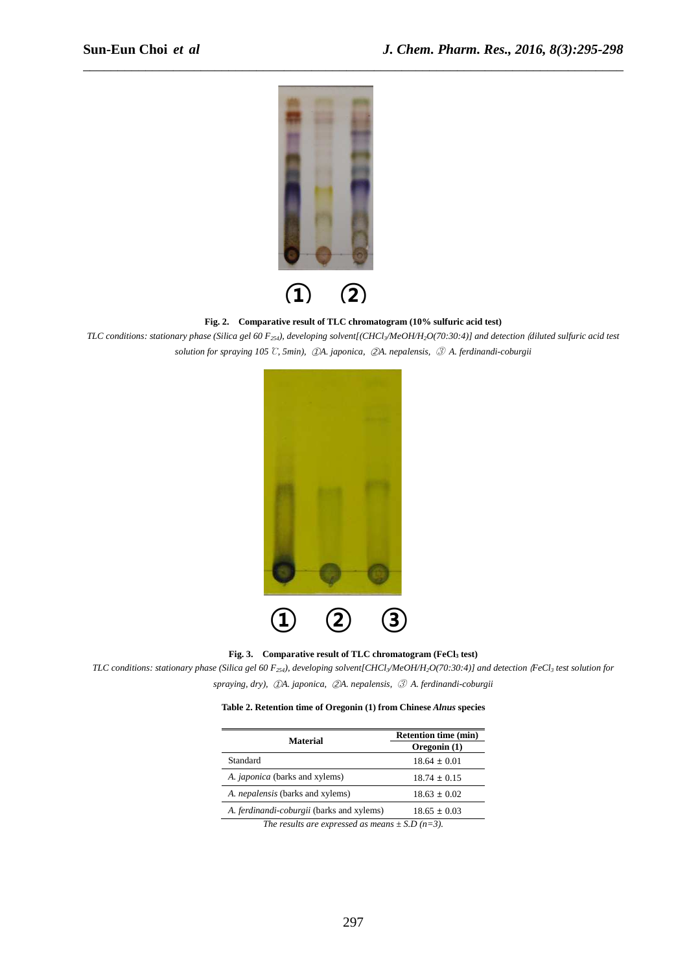

**Fig. 2. Comparative result of TLC chromatogram (10% sulfuric acid test)** 

\_\_\_\_\_\_\_\_\_\_\_\_\_\_\_\_\_\_\_\_\_\_\_\_\_\_\_\_\_\_\_\_\_\_\_\_\_\_\_\_\_\_\_\_\_\_\_\_\_\_\_\_\_\_\_\_\_\_\_\_\_\_\_\_\_\_\_\_\_\_\_\_\_\_\_\_\_\_

*TLC conditions: stationary phase (Silica gel 60 F254), developing solvent[(CHCl3/MeOH/H2O(70:30:4)] and detection* (*diluted sulfuric acid test solution for spraying 105*℃*, 5min),* ①*A. japonica,* ②*A. nepalensis,* ③ *A. ferdinandi-coburgii* 



**Fig. 3. Comparative result of TLC chromatogram (FeCl3 test)** 

*TLC conditions: stationary phase (Silica gel 60 F254), developing solvent[CHCl3/MeOH/H2O(70:30:4)] and detection* (*FeCl3 test solution for* 

*spraying, dry),* ①*A. japonica,* ②*A. nepalensis,* ③ *A. ferdinandi-coburgii* 

| Table 2. Retention time of Oregonin (1) from Chinese Alnus species |  |  |
|--------------------------------------------------------------------|--|--|
|--------------------------------------------------------------------|--|--|

| Material                                  | <b>Retention time (min)</b><br>Oregonin (1) |
|-------------------------------------------|---------------------------------------------|
| Standard                                  | $18.64 \pm 0.01$                            |
| A. <i>japonica</i> (barks and xylems)     | $18.74 \pm 0.15$                            |
| A. <i>nepalensis</i> (barks and xylems)   | $18.63 \pm 0.02$                            |
| A. ferdinandi-coburgii (barks and xylems) | $18.65 \pm 0.03$                            |

*The results are expressed as means*  $\pm$  *S.D (n=3).*